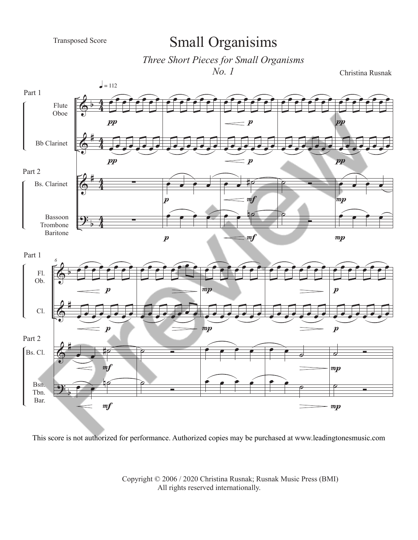Transposed Score

## Small Organisims

*Three Short Pieces for Small Organisms No. 1*

Christina Rusnak



This score is not authorized for performance. Authorized copies may be purchased at www.leadingtonesmusic.com

Copyright © 2006 / 2020 Christina Rusnak; Rusnak Music Press (BMI) All rights reserved internationally.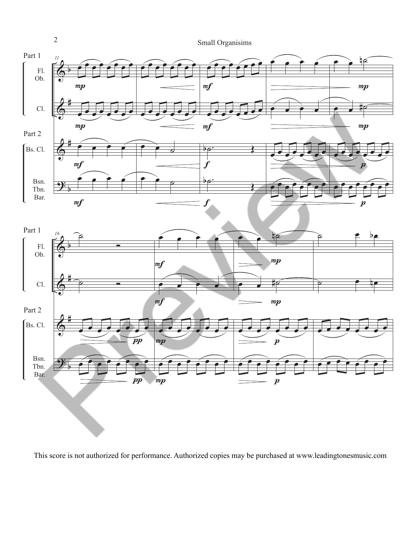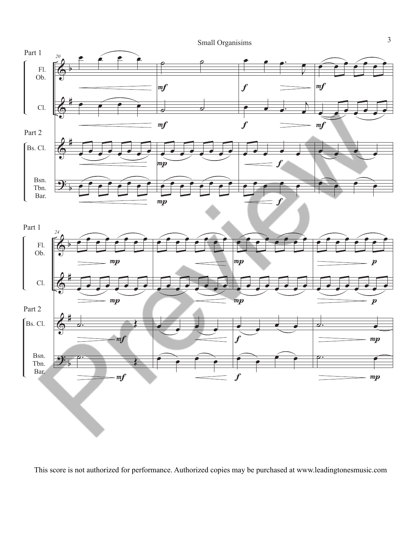3 Small Organisims

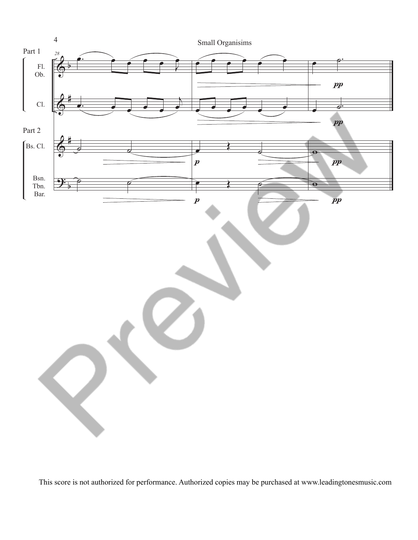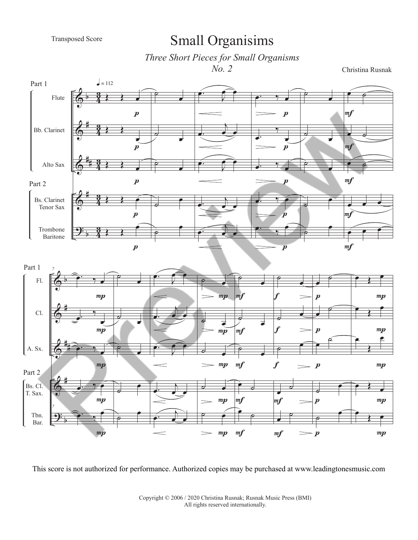Transposed Score

Small Organisims

*Three Short Pieces for Small Organisms No. 2*

Christina Rusnak

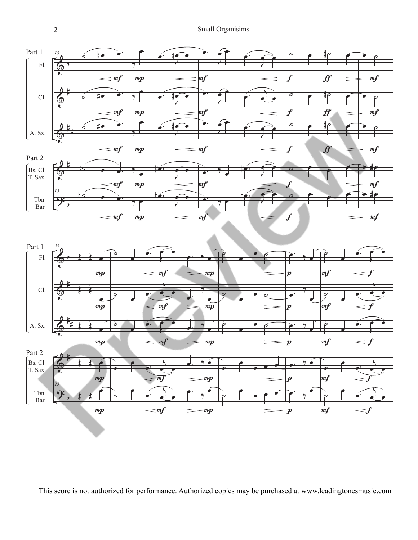2 Small Organisims

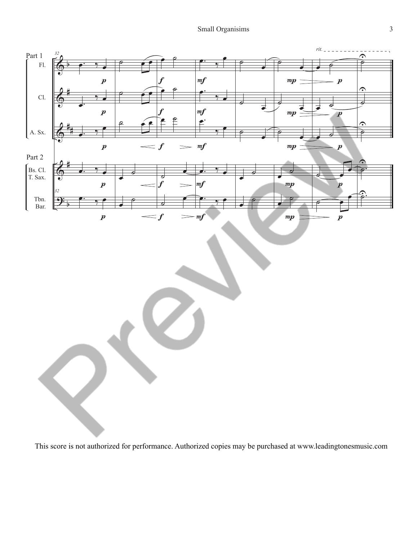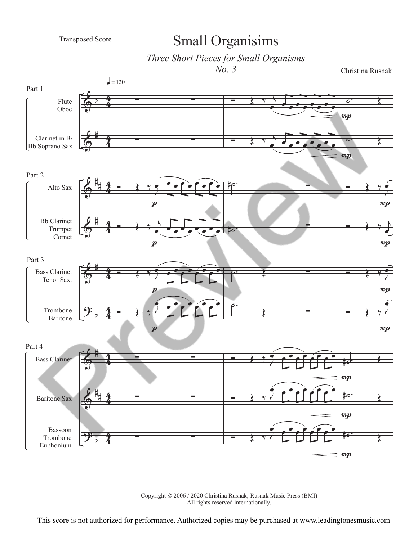Transposed Score

Small Organisims

*Three Short Pieces for Small Organisms*

*No. 3*

Christina Rusnak



Copyright © 2006 / 2020 Christina Rusnak; Rusnak Music Press (BMI) All rights reserved internationally.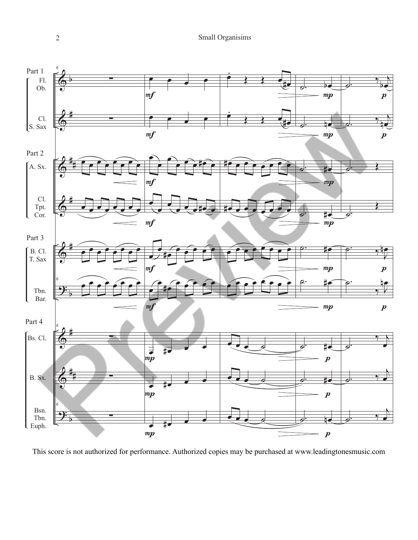2 Small Organisims

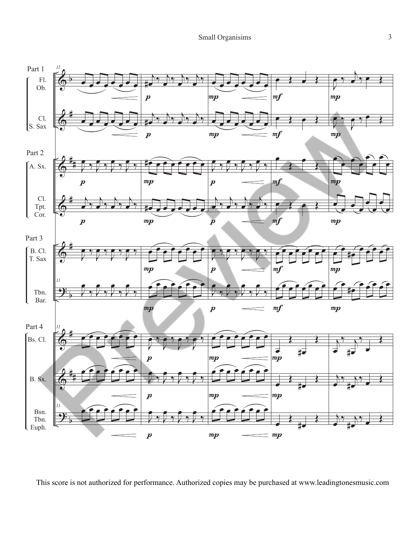Small Organisims 3

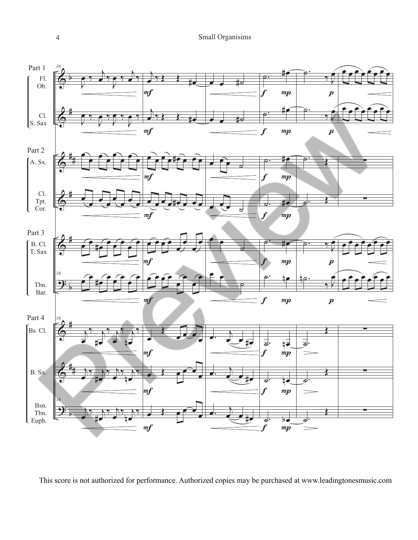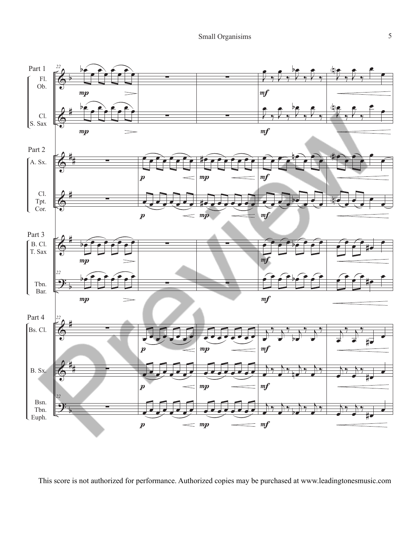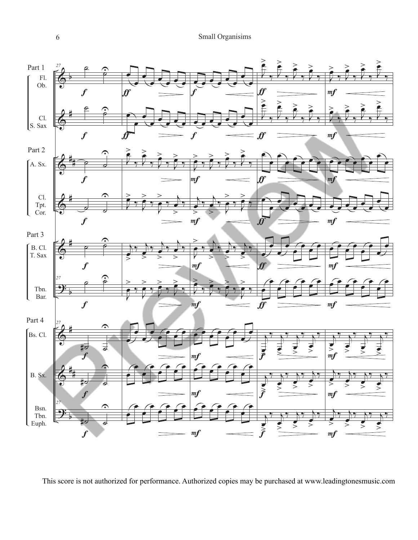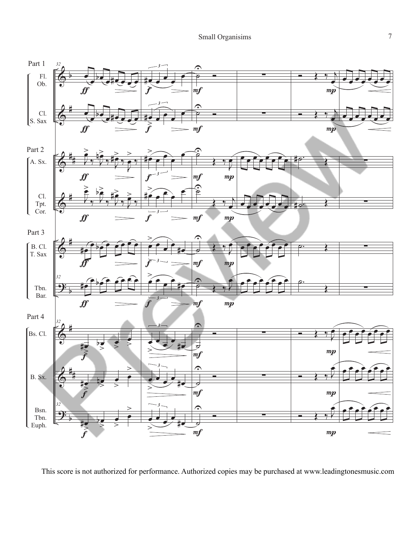